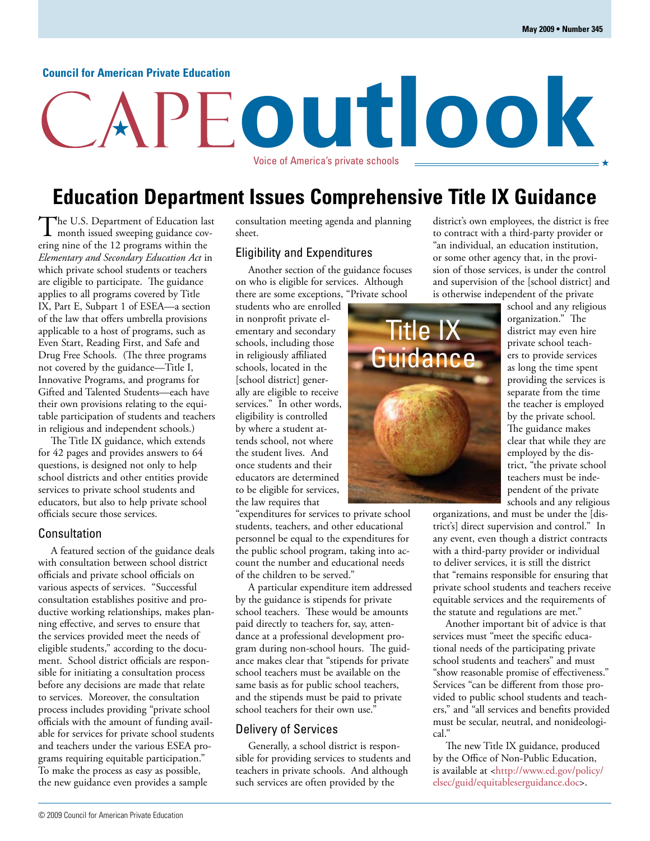#### **Council for American Private Education**

# **outlook** Voice of America's private schools

## **Education Department Issues Comprehensive Title IX Guidance**

The U.S. Department of Education last<br>
month issued sweeping guidance covering nine of the 12 programs within the *Elementary and Secondary Education Act* in which private school students or teachers are eligible to participate. The guidance applies to all programs covered by Title IX, Part E, Subpart 1 of ESEA—a section of the law that offers umbrella provisions applicable to a host of programs, such as Even Start, Reading First, and Safe and Drug Free Schools. (The three programs not covered by the guidance—Title I, Innovative Programs, and programs for Gifted and Talented Students—each have their own provisions relating to the equitable participation of students and teachers in religious and independent schools.)

The Title IX guidance, which extends for 42 pages and provides answers to 64 questions, is designed not only to help school districts and other entities provide services to private school students and educators, but also to help private school officials secure those services.

#### Consultation

A featured section of the guidance deals with consultation between school district officials and private school officials on various aspects of services. "Successful consultation establishes positive and productive working relationships, makes planning effective, and serves to ensure that the services provided meet the needs of eligible students," according to the document. School district officials are responsible for initiating a consultation process before any decisions are made that relate to services. Moreover, the consultation process includes providing "private school officials with the amount of funding available for services for private school students and teachers under the various ESEA programs requiring equitable participation." To make the process as easy as possible, the new guidance even provides a sample

consultation meeting agenda and planning sheet.

#### Eligibility and Expenditures

Another section of the guidance focuses on who is eligible for services. Although there are some exceptions, "Private school

students who are enrolled in nonprofit private elementary and secondary schools, including those in religiously affiliated schools, located in the [school district] generally are eligible to receive services." In other words, eligibility is controlled by where a student attends school, not where the student lives. And once students and their educators are determined to be eligible for services, the law requires that

"expenditures for services to private school students, teachers, and other educational personnel be equal to the expenditures for the public school program, taking into account the number and educational needs of the children to be served."

A particular expenditure item addressed by the guidance is stipends for private school teachers. These would be amounts paid directly to teachers for, say, attendance at a professional development program during non-school hours. The guidance makes clear that "stipends for private school teachers must be available on the same basis as for public school teachers, and the stipends must be paid to private school teachers for their own use."

#### Delivery of Services

Generally, a school district is responsible for providing services to students and teachers in private schools. And although such services are often provided by the

district's own employees, the district is free to contract with a third-party provider or "an individual, an education institution, or some other agency that, in the provision of those services, is under the control and supervision of the [school district] and is otherwise independent of the private



school and any religious organization." The district may even hire private school teachers to provide services as long the time spent providing the services is separate from the time the teacher is employed by the private school. The guidance makes clear that while they are employed by the district, "the private school teachers must be independent of the private schools and any religious

organizations, and must be under the [district's] direct supervision and control." In any event, even though a district contracts with a third-party provider or individual to deliver services, it is still the district that "remains responsible for ensuring that private school students and teachers receive equitable services and the requirements of the statute and regulations are met."

Another important bit of advice is that services must "meet the specific educational needs of the participating private school students and teachers" and must "show reasonable promise of effectiveness." Services "can be different from those provided to public school students and teachers," and "all services and benefits provided must be secular, neutral, and nonideological."

The new Title IX guidance, produced by the Office of Non-Public Education, [is available at <http://www.ed.gov/policy/](http://www.ed.gov/policy/elsec/guid/equitableserguidance.doc) elsec/guid/equitableserguidance.doc>.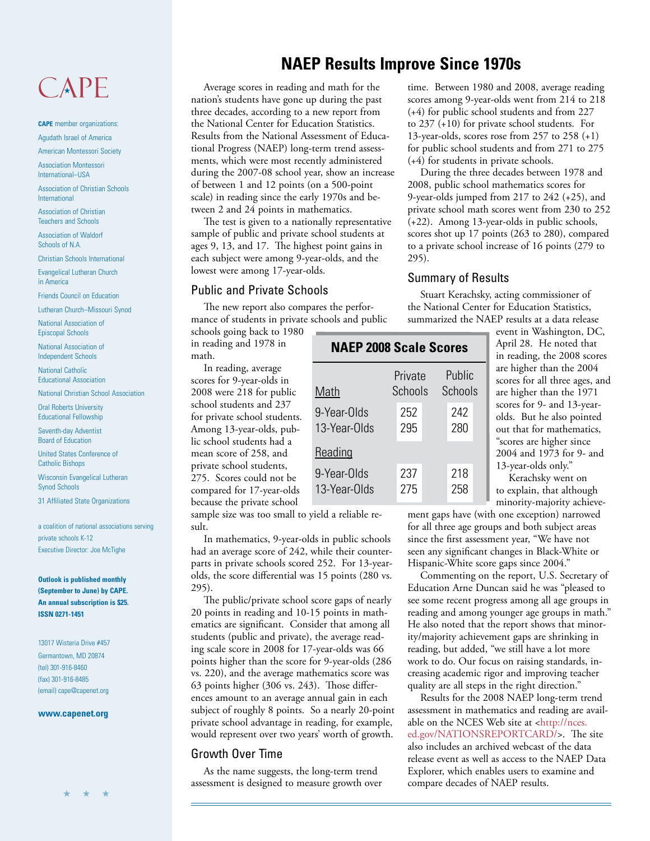## CAPE

**CAPE** member organizations: Agudath Israel of America

American Montessori Society

Association Montessori International–USA

Association of Christian Schools International

Association of Christian Teachers and Schools

Association of Waldorf Schools of N.A.

Christian Schools International

Evangelical Lutheran Church in America

Friends Council on Education

Lutheran Church–Missouri Synod

National Association of Episcopal Schools

National Association of Independent Schools

National Catholic Educational Association

National Christian School Association

Oral Roberts University Educational Fellowship

Seventh-day Adventist Board of Education

United States Conference of Catholic Bishops

Wisconsin Evangelical Lutheran Synod Schools

31 Affiliated State Organizations

a coalition of national associations serving private schools K-12 Executive Director: Joe McTighe

**Outlook is published monthly (September to June) by CAPE. An annual subscription is \$25. ISSN 0271-1451**

13017 Wisteria Drive #457 Germantown, MD 20874 (tel) 301-916-8460 (fax) 301-916-8485 (email) cape@capenet.org

#### **www.capenet.org**

## **NAEP Results Improve Since 1970s**

Average scores in reading and math for the nation's students have gone up during the past three decades, according to a new report from the National Center for Education Statistics. Results from the National Assessment of Educational Progress (NAEP) long-term trend assessments, which were most recently administered during the 2007-08 school year, show an increase of between 1 and 12 points (on a 500-point scale) in reading since the early 1970s and between 2 and 24 points in mathematics.

The test is given to a nationally representative sample of public and private school students at ages 9, 13, and 17. The highest point gains in each subject were among 9-year-olds, and the lowest were among 17-year-olds.

#### Public and Private Schools

The new report also compares the performance of students in private schools and public

schools going back to 1980 in reading and 1978 in math.

In reading, average scores for 9-year-olds in 2008 were 218 for public school students and 237 for private school students. Among 13-year-olds, public school students had a mean score of 258, and private school students, 275. Scores could not be compared for 17-year-olds because the private school

| <b>NAEP 2008 Scale Scores</b> |  |                    |  |                   |  |  |
|-------------------------------|--|--------------------|--|-------------------|--|--|
| Math                          |  | Private<br>Schools |  | Public<br>Schools |  |  |
| 9-Year-Olds<br>13-Year-Olds   |  | 252<br>295         |  | 242<br>280        |  |  |
| Reading                       |  |                    |  |                   |  |  |
| 9-Year-Olds<br>13-Year-Olds   |  | 237<br>275         |  | 218<br>258        |  |  |

sample size was too small to yield a reliable result.

In mathematics, 9-year-olds in public schools had an average score of 242, while their counterparts in private schools scored 252. For 13-yearolds, the score differential was 15 points (280 vs. 295).

The public/private school score gaps of nearly 20 points in reading and 10-15 points in mathematics are significant. Consider that among all students (public and private), the average reading scale score in 2008 for 17-year-olds was 66 points higher than the score for 9-year-olds (286 vs. 220), and the average mathematics score was 63 points higher (306 vs. 243). Those differences amount to an average annual gain in each subject of roughly 8 points. So a nearly 20-point private school advantage in reading, for example, would represent over two years' worth of growth.

#### Growth Over Time

As the name suggests, the long-term trend assessment is designed to measure growth over time. Between 1980 and 2008, average reading scores among 9-year-olds went from 214 to 218 (+4) for public school students and from 227 to 237 (+10) for private school students. For 13-year-olds, scores rose from 257 to 258 (+1) for public school students and from 271 to 275 (+4) for students in private schools.

During the three decades between 1978 and 2008, public school mathematics scores for 9-year-olds jumped from 217 to 242 (+25), and private school math scores went from 230 to 252 (+22). Among 13-year-olds in public schools, scores shot up 17 points (263 to 280), compared to a private school increase of 16 points (279 to 295).

#### Summary of Results

Stuart Kerachsky, acting commissioner of the National Center for Education Statistics, summarized the NAEP results at a data release

> event in Washington, DC, April 28. He noted that in reading, the 2008 scores are higher than the 2004 scores for all three ages, and are higher than the 1971 scores for 9- and 13-yearolds. But he also pointed out that for mathematics, "scores are higher since 2004 and 1973 for 9- and 13-year-olds only."

Kerachsky went on to explain, that although minority-majority achieve-

ment gaps have (with one exception) narrowed for all three age groups and both subject areas since the first assessment year, "We have not seen any significant changes in Black-White or Hispanic-White score gaps since 2004."

Commenting on the report, U.S. Secretary of Education Arne Duncan said he was "pleased to see some recent progress among all age groups in reading and among younger age groups in math." He also noted that the report shows that minority/majority achievement gaps are shrinking in reading, but added, "we still have a lot more work to do. Our focus on raising standards, increasing academic rigor and improving teacher quality are all steps in the right direction."

Results for the 2008 NAEP long-term trend assessment in mathematics and reading are avail[able on the NCES Web site at <http://nces.](http://nces.ed.gov/NATIONSREPORTCARD/) ed.gov/NATIONSREPORTCARD/>. The site also includes an archived webcast of the data release event as well as access to the NAEP Data Explorer, which enables users to examine and compare decades of NAEP results.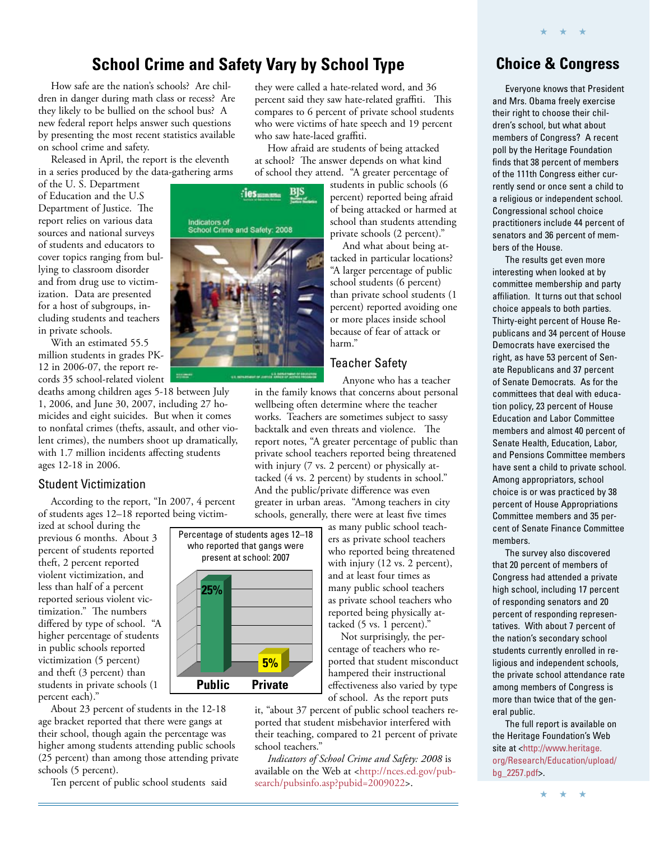## **School Crime and Safety Vary by School Type**

How safe are the nation's schools? Are children in danger during math class or recess? Are they likely to be bullied on the school bus? A new federal report helps answer such questions by presenting the most recent statistics available on school crime and safety.

Released in April, the report is the eleventh in a series produced by the data-gathering arms

of the U. S. Department of Education and the U.S Department of Justice. The report relies on various data sources and national surveys of students and educators to cover topics ranging from bullying to classroom disorder and from drug use to victimization. Data are presented for a host of subgroups, including students and teachers in private schools.

With an estimated 55.5 million students in grades PK-12 in 2006-07, the report records 35 school-related violent

deaths among children ages 5-18 between July 1, 2006, and June 30, 2007, including 27 homicides and eight suicides. But when it comes to nonfatal crimes (thefts, assault, and other violent crimes), the numbers shoot up dramatically, with 1.7 million incidents affecting students ages 12-18 in 2006.

#### Student Victimization

According to the report, "In 2007, 4 percent of students ages 12–18 reported being victim-

ized at school during the previous 6 months. About 3 percent of students reported theft, 2 percent reported violent victimization, and less than half of a percent reported serious violent victimization." The numbers differed by type of school. "A higher percentage of students in public schools reported victimization (5 percent) and theft (3 percent) than students in private schools (1 percent each)."

About 23 percent of students in the 12-18 age bracket reported that there were gangs at their school, though again the percentage was higher among students attending public schools (25 percent) than among those attending private schools (5 percent).

Ten percent of public school students said

they were called a hate-related word, and 36 percent said they saw hate-related graffiti. This compares to 6 percent of private school students who were victims of hate speech and 19 percent who saw hate-laced graffiti.

How afraid are students of being attacked at school? The answer depends on what kind of school they attend. "A greater percentage of

> students in public schools (6 percent) reported being afraid of being attacked or harmed at school than students attending private schools (2 percent)."

> And what about being attacked in particular locations? "A larger percentage of public school students (6 percent) than private school students (1 percent) reported avoiding one or more places inside school because of fear of attack or harm."

#### Teacher Safety

Anyone who has a teacher in the family knows that concerns about personal

wellbeing often determine where the teacher works. Teachers are sometimes subject to sassy backtalk and even threats and violence. The report notes, "A greater percentage of public than private school teachers reported being threatened with injury (7 vs. 2 percent) or physically attacked (4 vs. 2 percent) by students in school." And the public/private difference was even greater in urban areas. "Among teachers in city schools, generally, there were at least five times

> as many public school teachers as private school teachers who reported being threatened with injury (12 vs. 2 percent), and at least four times as many public school teachers as private school teachers who reported being physically attacked (5 vs. 1 percent)."

Not surprisingly, the percentage of teachers who reported that student misconduct hampered their instructional effectiveness also varied by type of school. As the report puts

it, "about 37 percent of public school teachers reported that student misbehavior interfered with their teaching, compared to 21 percent of private school teachers."

*Indicators of School Crime and Safety: 2008* is [available on the Web at <http://nces.ed.gov/pub](http://nces.ed.gov/pubsearch/pubsinfo.asp?pubid=2009022)search/pubsinfo.asp?pubid=2009022>.

### **Choice & Congress**

★ ★ ★

Everyone knows that President and Mrs. Obama freely exercise their right to choose their children's school, but what about members of Congress? A recent poll by the Heritage Foundation finds that 38 percent of members of the 111th Congress either currently send or once sent a child to a religious or independent school. Congressional school choice practitioners include 44 percent of senators and 36 percent of members of the House.

The results get even more interesting when looked at by committee membership and party affiliation. It turns out that school choice appeals to both parties. Thirty-eight percent of House Republicans and 34 percent of House Democrats have exercised the right, as have 53 percent of Senate Republicans and 37 percent of Senate Democrats. As for the committees that deal with education policy, 23 percent of House Education and Labor Committee members and almost 40 percent of Senate Health, Education, Labor, and Pensions Committee members have sent a child to private school. Among appropriators, school choice is or was practiced by 38 percent of House Appropriations Committee members and 35 percent of Senate Finance Committee members.

The survey also discovered that 20 percent of members of Congress had attended a private high school, including 17 percent of responding senators and 20 percent of responding representatives. With about 7 percent of the nation's secondary school students currently enrolled in religious and independent schools, the private school attendance rate among members of Congress is more than twice that of the general public.

The full report is available on the Heritage Foundation's Web site at <http://www.heritage. [org/Research/Education/upload/](http://www.heritage.org/Research/Education/upload/bg_2257.pdf) bg\_2257.pdf>.



Percentage of students ages 12–18 who reported that gangs were present at school: 2007

**25%**

**Public Private**

**5%**